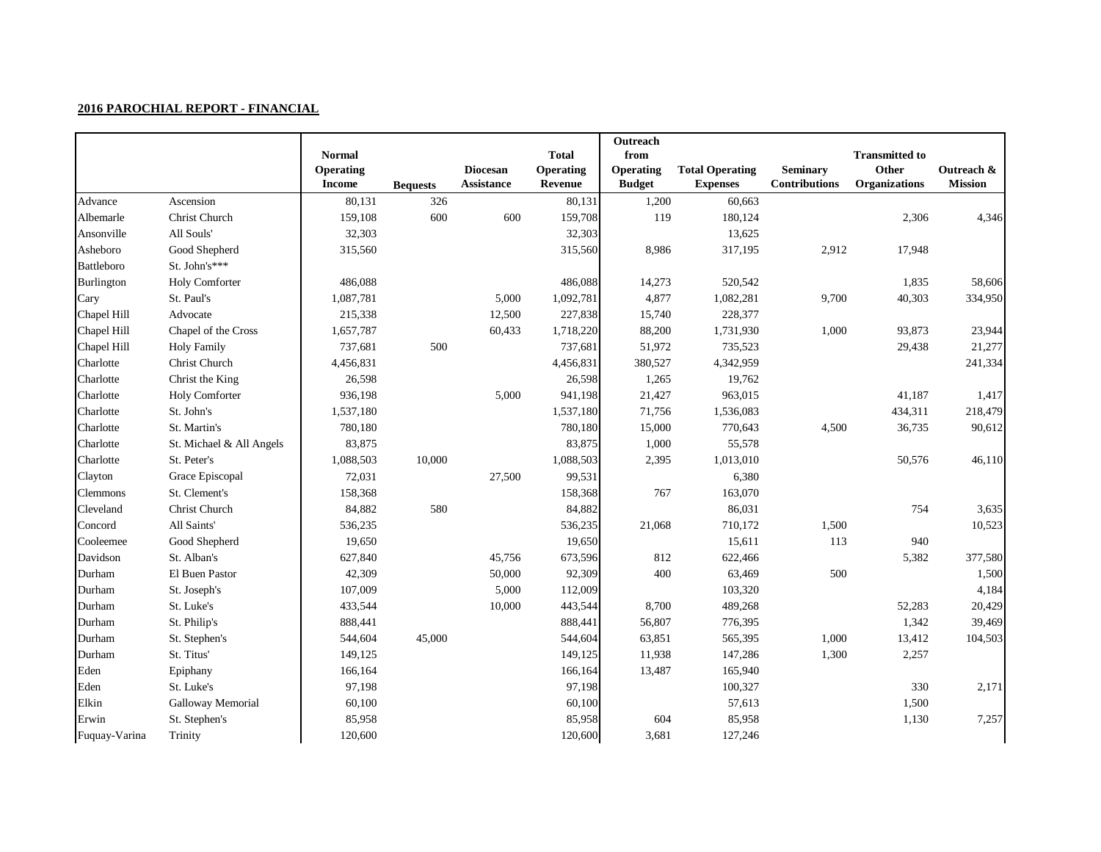|                 |                          | <b>Normal</b><br><b>Operating</b><br><b>Income</b> | <b>Bequests</b> | <b>Diocesan</b><br><b>Assistance</b> | <b>Total</b><br><b>Operating</b><br>Revenue | Outreach<br>from<br>Operating<br><b>Budget</b> | <b>Total Operating</b><br><b>Expenses</b> | <b>Seminary</b><br><b>Contributions</b> | <b>Transmitted to</b><br><b>Other</b><br><b>Organizations</b> | Outreach &<br><b>Mission</b> |
|-----------------|--------------------------|----------------------------------------------------|-----------------|--------------------------------------|---------------------------------------------|------------------------------------------------|-------------------------------------------|-----------------------------------------|---------------------------------------------------------------|------------------------------|
| Advance         | Ascension                | 80,131                                             | 326             |                                      | 80,131                                      | 1,200                                          | 60,663                                    |                                         |                                                               |                              |
| Albemarle       | Christ Church            | 159,108                                            | 600             | 600                                  | 159,708                                     | 119                                            | 180,124                                   |                                         | 2,306                                                         | 4,346                        |
| Ansonville      | All Souls'               | 32,303                                             |                 |                                      | 32,303                                      |                                                | 13,625                                    |                                         |                                                               |                              |
| Asheboro        | Good Shepherd            | 315,560                                            |                 |                                      | 315,560                                     | 8,986                                          | 317,195                                   | 2,912                                   | 17,948                                                        |                              |
| Battleboro      | St. John's***            |                                                    |                 |                                      |                                             |                                                |                                           |                                         |                                                               |                              |
| Burlington      | <b>Holy Comforter</b>    | 486,088                                            |                 |                                      | 486,088                                     | 14,273                                         | 520,542                                   |                                         | 1,835                                                         | 58,606                       |
| Cary            | St. Paul's               | 1,087,781                                          |                 | 5,000                                | 1,092,781                                   | 4,877                                          | 1,082,281                                 | 9,700                                   | 40,303                                                        | 334,950                      |
| Chapel Hill     | Advocate                 | 215,338                                            |                 | 12,500                               | 227,838                                     | 15,740                                         | 228,377                                   |                                         |                                                               |                              |
| Chapel Hill     | Chapel of the Cross      | 1,657,787                                          |                 | 60,433                               | 1,718,220                                   | 88,200                                         | 1,731,930                                 | 1,000                                   | 93,873                                                        | 23,944                       |
| Chapel Hill     | <b>Holy Family</b>       | 737,681                                            | 500             |                                      | 737,681                                     | 51,972                                         | 735,523                                   |                                         | 29,438                                                        | 21,277                       |
| Charlotte       | Christ Church            | 4,456,831                                          |                 |                                      | 4,456,831                                   | 380,527                                        | 4,342,959                                 |                                         |                                                               | 241,334                      |
| Charlotte       | Christ the King          | 26,598                                             |                 |                                      | 26,598                                      | 1,265                                          | 19,762                                    |                                         |                                                               |                              |
| Charlotte       | <b>Holy Comforter</b>    | 936,198                                            |                 | 5,000                                | 941,198                                     | 21,427                                         | 963,015                                   |                                         | 41,187                                                        | 1,417                        |
| Charlotte       | St. John's               | 1,537,180                                          |                 |                                      | 1,537,180                                   | 71,756                                         | 1,536,083                                 |                                         | 434,311                                                       | 218,479                      |
| Charlotte       | St. Martin's             | 780,180                                            |                 |                                      | 780,180                                     | 15,000                                         | 770,643                                   | 4,500                                   | 36,735                                                        | 90,612                       |
| Charlotte       | St. Michael & All Angels | 83,875                                             |                 |                                      | 83,875                                      | 1,000                                          | 55,578                                    |                                         |                                                               |                              |
| Charlotte       | St. Peter's              | 1,088,503                                          | 10,000          |                                      | 1,088,503                                   | 2,395                                          | 1,013,010                                 |                                         | 50,576                                                        | 46,110                       |
| Clayton         | Grace Episcopal          | 72,031                                             |                 | 27,500                               | 99,531                                      |                                                | 6,380                                     |                                         |                                                               |                              |
| <b>Clemmons</b> | St. Clement's            | 158,368                                            |                 |                                      | 158,368                                     | 767                                            | 163,070                                   |                                         |                                                               |                              |
| Cleveland       | Christ Church            | 84,882                                             | 580             |                                      | 84,882                                      |                                                | 86,031                                    |                                         | 754                                                           | 3,635                        |
| Concord         | All Saints'              | 536,235                                            |                 |                                      | 536,235                                     | 21,068                                         | 710,172                                   | 1,500                                   |                                                               | 10,523                       |
| Cooleemee       | Good Shepherd            | 19,650                                             |                 |                                      | 19,650                                      |                                                | 15,611                                    | 113                                     | 940                                                           |                              |
| Davidson        | St. Alban's              | 627,840                                            |                 | 45,756                               | 673,596                                     | 812                                            | 622,466                                   |                                         | 5,382                                                         | 377,580                      |
| Durham          | El Buen Pastor           | 42,309                                             |                 | 50,000                               | 92,309                                      | 400                                            | 63,469                                    | 500                                     |                                                               | 1,500                        |
| Durham          | St. Joseph's             | 107,009                                            |                 | 5,000                                | 112,009                                     |                                                | 103,320                                   |                                         |                                                               | 4,184                        |
| Durham          | St. Luke's               | 433,544                                            |                 | 10,000                               | 443,544                                     | 8,700                                          | 489,268                                   |                                         | 52,283                                                        | 20,429                       |
| Durham          | St. Philip's             | 888,441                                            |                 |                                      | 888,441                                     | 56,807                                         | 776,395                                   |                                         | 1,342                                                         | 39,469                       |
| Durham          | St. Stephen's            | 544,604                                            | 45,000          |                                      | 544,604                                     | 63,851                                         | 565,395                                   | 1,000                                   | 13,412                                                        | 104,503                      |
| Durham          | St. Titus'               | 149,125                                            |                 |                                      | 149,125                                     | 11,938                                         | 147,286                                   | 1,300                                   | 2,257                                                         |                              |
| Eden            | Epiphany                 | 166,164                                            |                 |                                      | 166,164                                     | 13,487                                         | 165,940                                   |                                         |                                                               |                              |
| Eden            | St. Luke's               | 97,198                                             |                 |                                      | 97,198                                      |                                                | 100,327                                   |                                         | 330                                                           | 2,171                        |
| Elkin           | Galloway Memorial        | 60,100                                             |                 |                                      | 60,100                                      |                                                | 57,613                                    |                                         | 1,500                                                         |                              |
| Erwin           | St. Stephen's            | 85,958                                             |                 |                                      | 85,958                                      | 604                                            | 85,958                                    |                                         | 1,130                                                         | 7,257                        |
| Fuquay-Varina   | Trinity                  | 120,600                                            |                 |                                      | 120,600                                     | 3,681                                          | 127,246                                   |                                         |                                                               |                              |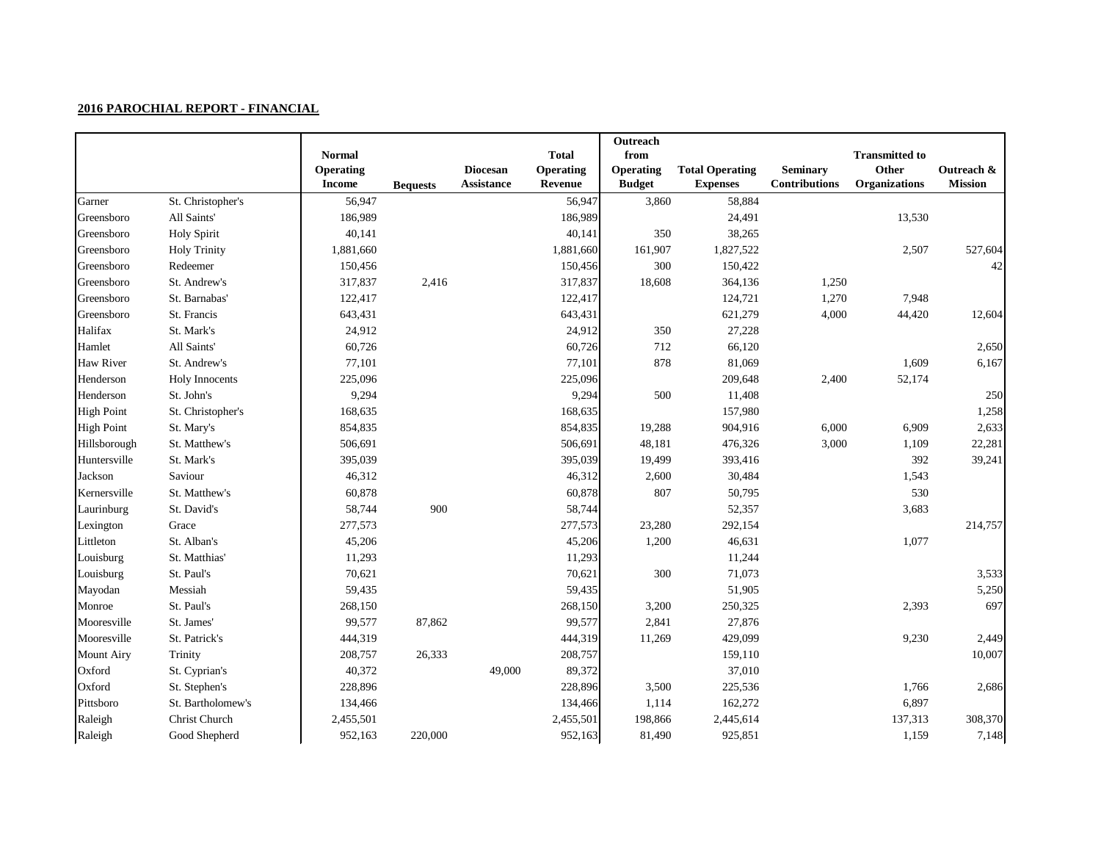|                   |                       |                                   |                 |                                      |                      | Outreach                          |                                           |                                         |                               |                              |
|-------------------|-----------------------|-----------------------------------|-----------------|--------------------------------------|----------------------|-----------------------------------|-------------------------------------------|-----------------------------------------|-------------------------------|------------------------------|
|                   |                       | <b>Normal</b>                     |                 |                                      | <b>Total</b>         | from                              |                                           |                                         | <b>Transmitted to</b>         |                              |
|                   |                       | <b>Operating</b><br><b>Income</b> | <b>Bequests</b> | <b>Diocesan</b><br><b>Assistance</b> | Operating<br>Revenue | <b>Operating</b><br><b>Budget</b> | <b>Total Operating</b><br><b>Expenses</b> | <b>Seminary</b><br><b>Contributions</b> | Other<br><b>Organizations</b> | Outreach &<br><b>Mission</b> |
| Garner            | St. Christopher's     | 56,947                            |                 |                                      | 56,947               | 3,860                             | 58,884                                    |                                         |                               |                              |
| Greensboro        | All Saints'           | 186,989                           |                 |                                      | 186,989              |                                   | 24,491                                    |                                         | 13,530                        |                              |
| Greensboro        | <b>Holy Spirit</b>    | 40,141                            |                 |                                      | 40,141               | 350                               | 38,265                                    |                                         |                               |                              |
| Greensboro        | <b>Holy Trinity</b>   | 1,881,660                         |                 |                                      | 1,881,660            | 161,907                           | 1,827,522                                 |                                         | 2,507                         | 527,604                      |
| Greensboro        | Redeemer              | 150,456                           |                 |                                      | 150,456              | 300                               | 150,422                                   |                                         |                               | 42                           |
| Greensboro        | St. Andrew's          | 317,837                           | 2,416           |                                      | 317,837              | 18,608                            | 364,136                                   | 1,250                                   |                               |                              |
| Greensboro        | St. Barnabas'         | 122,417                           |                 |                                      | 122,417              |                                   | 124,721                                   | 1,270                                   | 7,948                         |                              |
| Greensboro        | St. Francis           | 643,431                           |                 |                                      | 643,431              |                                   | 621,279                                   | 4,000                                   | 44,420                        | 12,604                       |
| Halifax           | St. Mark's            | 24,912                            |                 |                                      | 24,912               | 350                               | 27,228                                    |                                         |                               |                              |
| Hamlet            | All Saints'           | 60,726                            |                 |                                      | 60,726               | 712                               | 66,120                                    |                                         |                               | 2,650                        |
| Haw River         | St. Andrew's          | 77,101                            |                 |                                      | 77,101               | 878                               | 81,069                                    |                                         | 1,609                         | 6,167                        |
| Henderson         | <b>Holy Innocents</b> | 225,096                           |                 |                                      | 225,096              |                                   | 209,648                                   | 2,400                                   | 52,174                        |                              |
| Henderson         | St. John's            | 9,294                             |                 |                                      | 9,294                | 500                               | 11,408                                    |                                         |                               | 250                          |
| <b>High Point</b> | St. Christopher's     | 168,635                           |                 |                                      | 168,635              |                                   | 157,980                                   |                                         |                               | 1,258                        |
| <b>High Point</b> | St. Mary's            | 854,835                           |                 |                                      | 854,835              | 19,288                            | 904,916                                   | 6,000                                   | 6,909                         | 2,633                        |
| Hillsborough      | St. Matthew's         | 506,691                           |                 |                                      | 506,691              | 48,181                            | 476,326                                   | 3,000                                   | 1,109                         | 22,281                       |
| Huntersville      | St. Mark's            | 395,039                           |                 |                                      | 395,039              | 19,499                            | 393,416                                   |                                         | 392                           | 39,241                       |
| Jackson           | Saviour               | 46,312                            |                 |                                      | 46,312               | 2,600                             | 30,484                                    |                                         | 1,543                         |                              |
| Kernersville      | St. Matthew's         | 60,878                            |                 |                                      | 60,878               | 807                               | 50,795                                    |                                         | 530                           |                              |
| Laurinburg        | St. David's           | 58,744                            | 900             |                                      | 58,744               |                                   | 52,357                                    |                                         | 3,683                         |                              |
| Lexington         | Grace                 | 277,573                           |                 |                                      | 277,573              | 23,280                            | 292,154                                   |                                         |                               | 214,757                      |
| Littleton         | St. Alban's           | 45,206                            |                 |                                      | 45,206               | 1,200                             | 46,631                                    |                                         | 1,077                         |                              |
| Louisburg         | St. Matthias'         | 11,293                            |                 |                                      | 11,293               |                                   | 11,244                                    |                                         |                               |                              |
| Louisburg         | St. Paul's            | 70,621                            |                 |                                      | 70,621               | 300                               | 71,073                                    |                                         |                               | 3,533                        |
| Mayodan           | Messiah               | 59,435                            |                 |                                      | 59,435               |                                   | 51,905                                    |                                         |                               | 5,250                        |
| Monroe            | St. Paul's            | 268,150                           |                 |                                      | 268,150              | 3,200                             | 250,325                                   |                                         | 2,393                         | 697                          |
| Mooresville       | St. James'            | 99,577                            | 87,862          |                                      | 99,577               | 2,841                             | 27,876                                    |                                         |                               |                              |
| Mooresville       | St. Patrick's         | 444,319                           |                 |                                      | 444,319              | 11,269                            | 429,099                                   |                                         | 9,230                         | 2,449                        |
| <b>Mount Airy</b> | Trinity               | 208,757                           | 26,333          |                                      | 208,757              |                                   | 159,110                                   |                                         |                               | 10,007                       |
| Oxford            | St. Cyprian's         | 40,372                            |                 | 49,000                               | 89,372               |                                   | 37,010                                    |                                         |                               |                              |
| Oxford            | St. Stephen's         | 228,896                           |                 |                                      | 228,896              | 3,500                             | 225,536                                   |                                         | 1,766                         | 2,686                        |
| Pittsboro         | St. Bartholomew's     | 134,466                           |                 |                                      | 134,466              | 1,114                             | 162,272                                   |                                         | 6,897                         |                              |
| Raleigh           | Christ Church         | 2,455,501                         |                 |                                      | 2,455,501            | 198,866                           | 2,445,614                                 |                                         | 137,313                       | 308,370                      |
| Raleigh           | Good Shepherd         | 952,163                           | 220,000         |                                      | 952,163              | 81,490                            | 925,851                                   |                                         | 1,159                         | 7,148                        |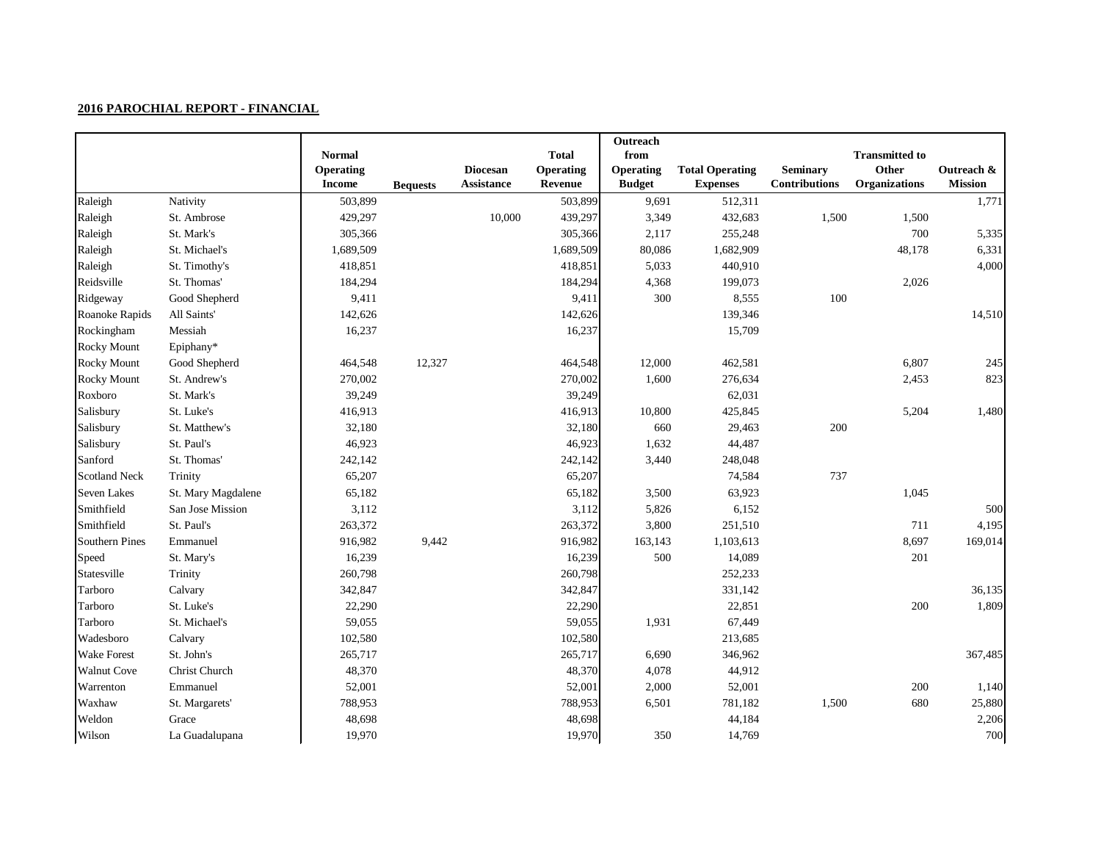|                       |                    |                                   |                 |                   |                                  | Outreach                 |                        |                      |                                |                |
|-----------------------|--------------------|-----------------------------------|-----------------|-------------------|----------------------------------|--------------------------|------------------------|----------------------|--------------------------------|----------------|
|                       |                    | <b>Normal</b><br><b>Operating</b> |                 | <b>Diocesan</b>   | <b>Total</b><br><b>Operating</b> | from<br><b>Operating</b> | <b>Total Operating</b> | <b>Seminary</b>      | <b>Transmitted to</b><br>Other | Outreach &     |
|                       |                    | <b>Income</b>                     | <b>Bequests</b> | <b>Assistance</b> | Revenue                          | <b>Budget</b>            | <b>Expenses</b>        | <b>Contributions</b> | <b>Organizations</b>           | <b>Mission</b> |
| Raleigh               | Nativity           | 503,899                           |                 |                   | 503,899                          | 9,691                    | 512,311                |                      |                                | 1,771          |
| Raleigh               | St. Ambrose        | 429,297                           |                 | 10,000            | 439,297                          | 3,349                    | 432,683                | 1,500                | 1,500                          |                |
| Raleigh               | St. Mark's         | 305,366                           |                 |                   | 305,366                          | 2,117                    | 255,248                |                      | 700                            | 5,335          |
| Raleigh               | St. Michael's      | 1,689,509                         |                 |                   | 1,689,509                        | 80,086                   | 1,682,909              |                      | 48,178                         | 6,331          |
| Raleigh               | St. Timothy's      | 418,851                           |                 |                   | 418,851                          | 5,033                    | 440,910                |                      |                                | 4,000          |
| Reidsville            | St. Thomas'        | 184,294                           |                 |                   | 184,294                          | 4,368                    | 199,073                |                      | 2,026                          |                |
| Ridgeway              | Good Shepherd      | 9,411                             |                 |                   | 9,411                            | 300                      | 8,555                  | 100                  |                                |                |
| Roanoke Rapids        | All Saints'        | 142,626                           |                 |                   | 142,626                          |                          | 139,346                |                      |                                | 14,510         |
| Rockingham            | Messiah            | 16,237                            |                 |                   | 16,237                           |                          | 15,709                 |                      |                                |                |
| <b>Rocky Mount</b>    | Epiphany*          |                                   |                 |                   |                                  |                          |                        |                      |                                |                |
| <b>Rocky Mount</b>    | Good Shepherd      | 464,548                           | 12,327          |                   | 464,548                          | 12,000                   | 462,581                |                      | 6,807                          | 245            |
| <b>Rocky Mount</b>    | St. Andrew's       | 270,002                           |                 |                   | 270,002                          | 1,600                    | 276,634                |                      | 2,453                          | 823            |
| Roxboro               | St. Mark's         | 39,249                            |                 |                   | 39,249                           |                          | 62,031                 |                      |                                |                |
| Salisbury             | St. Luke's         | 416,913                           |                 |                   | 416,913                          | 10,800                   | 425,845                |                      | 5,204                          | 1,480          |
| Salisbury             | St. Matthew's      | 32,180                            |                 |                   | 32,180                           | 660                      | 29,463                 | 200                  |                                |                |
| Salisbury             | St. Paul's         | 46,923                            |                 |                   | 46,923                           | 1,632                    | 44,487                 |                      |                                |                |
| Sanford               | St. Thomas'        | 242,142                           |                 |                   | 242,142                          | 3,440                    | 248,048                |                      |                                |                |
| <b>Scotland Neck</b>  | Trinity            | 65,207                            |                 |                   | 65,207                           |                          | 74,584                 | 737                  |                                |                |
| Seven Lakes           | St. Mary Magdalene | 65,182                            |                 |                   | 65,182                           | 3,500                    | 63,923                 |                      | 1,045                          |                |
| Smithfield            | San Jose Mission   | 3,112                             |                 |                   | 3,112                            | 5,826                    | 6,152                  |                      |                                | 500            |
| Smithfield            | St. Paul's         | 263,372                           |                 |                   | 263,372                          | 3,800                    | 251,510                |                      | 711                            | 4,195          |
| <b>Southern Pines</b> | Emmanuel           | 916,982                           | 9,442           |                   | 916,982                          | 163,143                  | 1,103,613              |                      | 8,697                          | 169,014        |
| Speed                 | St. Mary's         | 16,239                            |                 |                   | 16,239                           | 500                      | 14,089                 |                      | 201                            |                |
| Statesville           | Trinity            | 260,798                           |                 |                   | 260,798                          |                          | 252,233                |                      |                                |                |
| Tarboro               | Calvary            | 342,847                           |                 |                   | 342,847                          |                          | 331,142                |                      |                                | 36,135         |
| Tarboro               | St. Luke's         | 22,290                            |                 |                   | 22,290                           |                          | 22,851                 |                      | 200                            | 1,809          |
| Tarboro               | St. Michael's      | 59,055                            |                 |                   | 59,055                           | 1,931                    | 67,449                 |                      |                                |                |
| Wadesboro             | Calvary            | 102,580                           |                 |                   | 102,580                          |                          | 213,685                |                      |                                |                |
| <b>Wake Forest</b>    | St. John's         | 265,717                           |                 |                   | 265,717                          | 6,690                    | 346,962                |                      |                                | 367,485        |
| <b>Walnut Cove</b>    | Christ Church      | 48,370                            |                 |                   | 48,370                           | 4,078                    | 44,912                 |                      |                                |                |
| Warrenton             | Emmanuel           | 52,001                            |                 |                   | 52,001                           | 2,000                    | 52,001                 |                      | 200                            | 1,140          |
| Waxhaw                | St. Margarets'     | 788,953                           |                 |                   | 788,953                          | 6,501                    | 781,182                | 1,500                | 680                            | 25,880         |
| Weldon                | Grace              | 48,698                            |                 |                   | 48,698                           |                          | 44,184                 |                      |                                | 2,206          |
| Wilson                | La Guadalupana     | 19,970                            |                 |                   | 19,970                           | 350                      | 14,769                 |                      |                                | 700            |